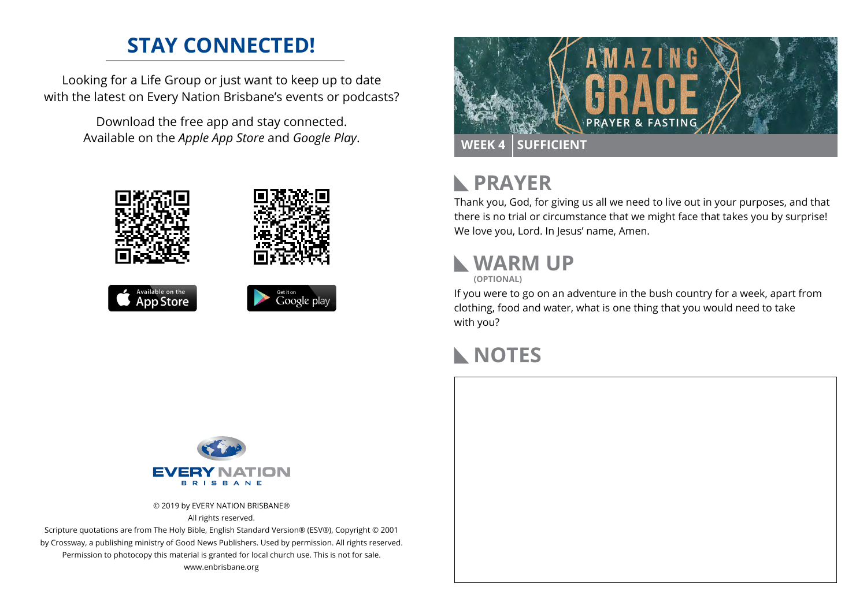## **STAY CONNECTED!**

Looking for a Life Group or just want to keep up to date with the latest on Every Nation Brisbane's events or podcasts?

> Download the free app and stay connected. Available on the *Apple App Store* and *Google Play*.







#### **PRAYER**  $\mathbb{R}$

Thank you, God, for giving us all we need to live out in your purposes, and that there is no trial or circumstance that we might face that takes you by surprise! We love you, Lord. In Jesus' name, Amen.

# **WARM UP**

**(OPTIONAL)**

If you were to go on an adventure in the bush country for a week, apart from clothing, food and water, what is one thing that you would need to take with you?

# **NOTES**



© 2019 by EVERY NATION BRISBANE® All rights reserved.

Scripture quotations are from The Holy Bible, English Standard Version® (ESV®), Copyright © 2001 by Crossway, a publishing ministry of Good News Publishers. Used by permission. All rights reserved. Permission to photocopy this material is granted for local church use. This is not for sale. www.enbrisbane.org